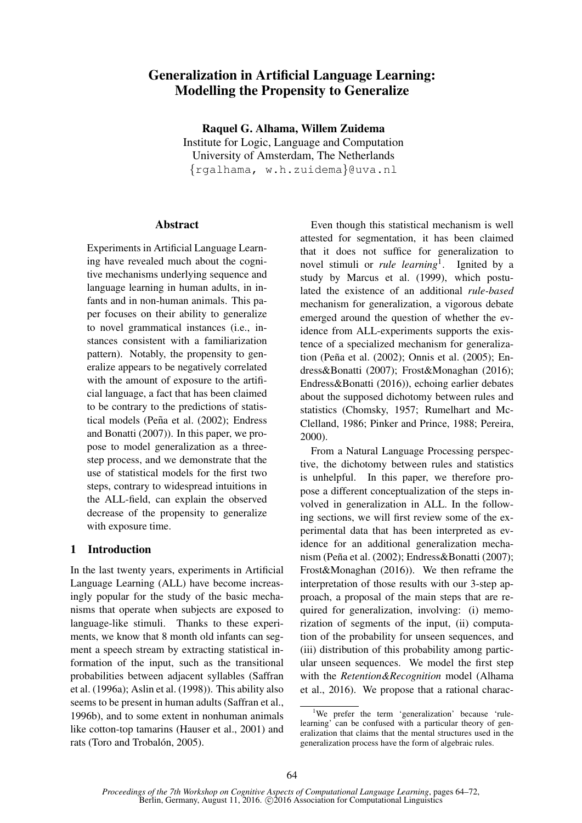# Generalization in Artificial Language Learning: Modelling the Propensity to Generalize

Raquel G. Alhama, Willem Zuidema Institute for Logic, Language and Computation University of Amsterdam, The Netherlands {rgalhama, w.h.zuidema}@uva.nl

### Abstract

Experiments in Artificial Language Learning have revealed much about the cognitive mechanisms underlying sequence and language learning in human adults, in infants and in non-human animals. This paper focuses on their ability to generalize to novel grammatical instances (i.e., instances consistent with a familiarization pattern). Notably, the propensity to generalize appears to be negatively correlated with the amount of exposure to the artificial language, a fact that has been claimed to be contrary to the predictions of statistical models (Peña et al. (2002); Endress and Bonatti (2007)). In this paper, we propose to model generalization as a threestep process, and we demonstrate that the use of statistical models for the first two steps, contrary to widespread intuitions in the ALL-field, can explain the observed decrease of the propensity to generalize with exposure time.

## 1 Introduction

In the last twenty years, experiments in Artificial Language Learning (ALL) have become increasingly popular for the study of the basic mechanisms that operate when subjects are exposed to language-like stimuli. Thanks to these experiments, we know that 8 month old infants can segment a speech stream by extracting statistical information of the input, such as the transitional probabilities between adjacent syllables (Saffran et al. (1996a); Aslin et al. (1998)). This ability also seems to be present in human adults (Saffran et al., 1996b), and to some extent in nonhuman animals like cotton-top tamarins (Hauser et al., 2001) and rats (Toro and Trobalón, 2005).

Even though this statistical mechanism is well attested for segmentation, it has been claimed that it does not suffice for generalization to novel stimuli or *rule learning*<sup>1</sup> . Ignited by a study by Marcus et al. (1999), which postulated the existence of an additional *rule-based* mechanism for generalization, a vigorous debate emerged around the question of whether the evidence from ALL-experiments supports the existence of a specialized mechanism for generalization (Peña et al. (2002); Onnis et al. (2005); Endress&Bonatti (2007); Frost&Monaghan (2016); Endress&Bonatti (2016)), echoing earlier debates about the supposed dichotomy between rules and statistics (Chomsky, 1957; Rumelhart and Mc-Clelland, 1986; Pinker and Prince, 1988; Pereira, 2000).

From a Natural Language Processing perspective, the dichotomy between rules and statistics is unhelpful. In this paper, we therefore propose a different conceptualization of the steps involved in generalization in ALL. In the following sections, we will first review some of the experimental data that has been interpreted as evidence for an additional generalization mechanism (Peña et al. (2002); Endress&Bonatti (2007); Frost&Monaghan (2016)). We then reframe the interpretation of those results with our 3-step approach, a proposal of the main steps that are required for generalization, involving: (i) memorization of segments of the input, (ii) computation of the probability for unseen sequences, and (iii) distribution of this probability among particular unseen sequences. We model the first step with the *Retention&Recognition* model (Alhama et al., 2016). We propose that a rational charac-

<sup>&</sup>lt;sup>1</sup>We prefer the term 'generalization' because 'rulelearning' can be confused with a particular theory of generalization that claims that the mental structures used in the generalization process have the form of algebraic rules.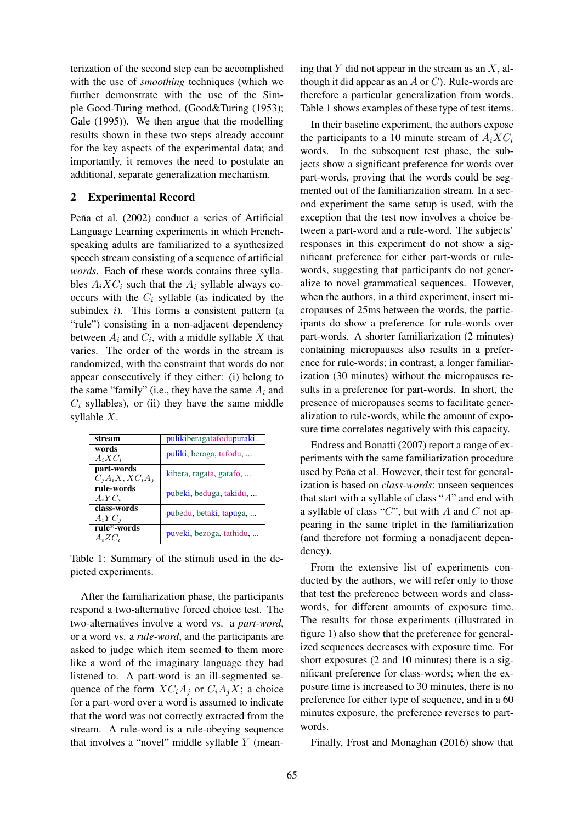terization of the second step can be accomplished with the use of *smoothing* techniques (which we further demonstrate with the use of the Simple Good-Turing method, (Good&Turing (1953); Gale (1995)). We then argue that the modelling results shown in these two steps already account for the key aspects of the experimental data; and importantly, it removes the need to postulate an additional, separate generalization mechanism.

#### 2 Experimental Record

Peña et al. (2002) conduct a series of Artificial Language Learning experiments in which Frenchspeaking adults are familiarized to a synthesized speech stream consisting of a sequence of artificial *words*. Each of these words contains three syllables  $A_i X C_i$  such that the  $A_i$  syllable always cooccurs with the  $C_i$  syllable (as indicated by the subindex  $i$ ). This forms a consistent pattern (a "rule") consisting in a non-adjacent dependency between  $A_i$  and  $C_i$ , with a middle syllable X that varies. The order of the words in the stream is randomized, with the constraint that words do not appear consecutively if they either: (i) belong to the same "family" (i.e., they have the same  $A_i$  and  $C_i$  syllables), or (ii) they have the same middle syllable X.

| stream                          | pulikiberagatafodupuraki |
|---------------------------------|--------------------------|
| words<br>$A_iXC_i$              | puliki, beraga, tafodu,  |
| part-words<br>$C_iA_iX,XC_iA_j$ | kibera, ragata, gatafo,  |
| rule-words<br>$A_i Y C_i$       | pubeki, beduga, takidu,  |
| class-words<br>$A_i Y C_i$      | pubedu, betaki, tapuga,  |
| rule*-words<br>$A_i Z C_i$      | puveki, bezoga, tathidu, |

Table 1: Summary of the stimuli used in the depicted experiments.

After the familiarization phase, the participants respond a two-alternative forced choice test. The two-alternatives involve a word vs. a *part-word*, or a word vs. a *rule-word*, and the participants are asked to judge which item seemed to them more like a word of the imaginary language they had listened to. A part-word is an ill-segmented sequence of the form  $XC_iA_j$  or  $C_iA_jX$ ; a choice for a part-word over a word is assumed to indicate that the word was not correctly extracted from the stream. A rule-word is a rule-obeying sequence that involves a "novel" middle syllable Y (mean-

ing that Y did not appear in the stream as an  $X$ , although it did appear as an  $A$  or  $C$ ). Rule-words are therefore a particular generalization from words. Table 1 shows examples of these type of test items.

In their baseline experiment, the authors expose the participants to a 10 minute stream of  $A_i X C_i$ words. In the subsequent test phase, the subjects show a significant preference for words over part-words, proving that the words could be segmented out of the familiarization stream. In a second experiment the same setup is used, with the exception that the test now involves a choice between a part-word and a rule-word. The subjects' responses in this experiment do not show a significant preference for either part-words or rulewords, suggesting that participants do not generalize to novel grammatical sequences. However, when the authors, in a third experiment, insert micropauses of 25ms between the words, the participants do show a preference for rule-words over part-words. A shorter familiarization (2 minutes) containing micropauses also results in a preference for rule-words; in contrast, a longer familiarization (30 minutes) without the micropauses results in a preference for part-words. In short, the presence of micropauses seems to facilitate generalization to rule-words, while the amount of exposure time correlates negatively with this capacity.

Endress and Bonatti (2007) report a range of experiments with the same familiarization procedure used by Peña et al. However, their test for generalization is based on *class-words*: unseen sequences that start with a syllable of class "A" and end with a syllable of class " $C$ ", but with  $A$  and  $C$  not appearing in the same triplet in the familiarization (and therefore not forming a nonadjacent dependency).

From the extensive list of experiments conducted by the authors, we will refer only to those that test the preference between words and classwords, for different amounts of exposure time. The results for those experiments (illustrated in figure 1) also show that the preference for generalized sequences decreases with exposure time. For short exposures (2 and 10 minutes) there is a significant preference for class-words; when the exposure time is increased to 30 minutes, there is no preference for either type of sequence, and in a 60 minutes exposure, the preference reverses to partwords.

Finally, Frost and Monaghan (2016) show that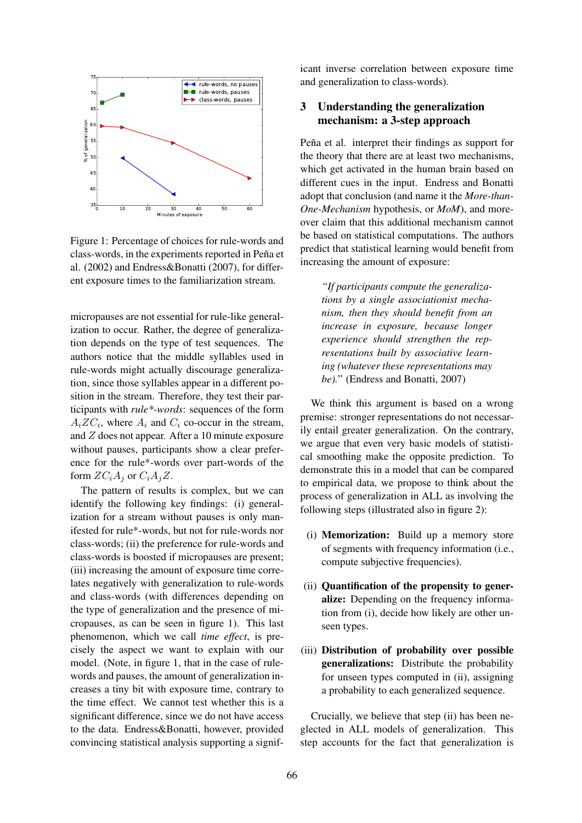

Figure 1: Percentage of choices for rule-words and class-words, in the experiments reported in Peña et al. (2002) and Endress&Bonatti (2007), for different exposure times to the familiarization stream.

micropauses are not essential for rule-like generalization to occur. Rather, the degree of generalization depends on the type of test sequences. The authors notice that the middle syllables used in rule-words might actually discourage generalization, since those syllables appear in a different position in the stream. Therefore, they test their participants with *rule\*-words*: sequences of the form  $A_i Z C_i$ , where  $A_i$  and  $C_i$  co-occur in the stream, and Z does not appear. After a 10 minute exposure without pauses, participants show a clear preference for the rule\*-words over part-words of the form  $ZC_iA_j$  or  $C_iA_jZ$ .

The pattern of results is complex, but we can identify the following key findings: (i) generalization for a stream without pauses is only manifested for rule\*-words, but not for rule-words nor class-words; (ii) the preference for rule-words and class-words is boosted if micropauses are present; (iii) increasing the amount of exposure time correlates negatively with generalization to rule-words and class-words (with differences depending on the type of generalization and the presence of micropauses, as can be seen in figure 1). This last phenomenon, which we call *time effect*, is precisely the aspect we want to explain with our model. (Note, in figure 1, that in the case of rulewords and pauses, the amount of generalization increases a tiny bit with exposure time, contrary to the time effect. We cannot test whether this is a significant difference, since we do not have access to the data. Endress&Bonatti, however, provided convincing statistical analysis supporting a significant inverse correlation between exposure time and generalization to class-words).

### 3 Understanding the generalization mechanism: a 3-step approach

Peña et al. interpret their findings as support for the theory that there are at least two mechanisms, which get activated in the human brain based on different cues in the input. Endress and Bonatti adopt that conclusion (and name it the *More-than-One-Mechanism* hypothesis, or *MoM*), and moreover claim that this additional mechanism cannot be based on statistical computations. The authors predict that statistical learning would benefit from increasing the amount of exposure:

*"If participants compute the generalizations by a single associationist mechanism, then they should benefit from an increase in exposure, because longer experience should strengthen the representations built by associative learning (whatever these representations may be).*" (Endress and Bonatti, 2007)

We think this argument is based on a wrong premise: stronger representations do not necessarily entail greater generalization. On the contrary, we argue that even very basic models of statistical smoothing make the opposite prediction. To demonstrate this in a model that can be compared to empirical data, we propose to think about the process of generalization in ALL as involving the following steps (illustrated also in figure 2):

- (i) Memorization: Build up a memory store of segments with frequency information (i.e., compute subjective frequencies).
- (ii) Quantification of the propensity to generalize: Depending on the frequency information from (i), decide how likely are other unseen types.
- (iii) Distribution of probability over possible generalizations: Distribute the probability for unseen types computed in (ii), assigning a probability to each generalized sequence.

Crucially, we believe that step (ii) has been neglected in ALL models of generalization. This step accounts for the fact that generalization is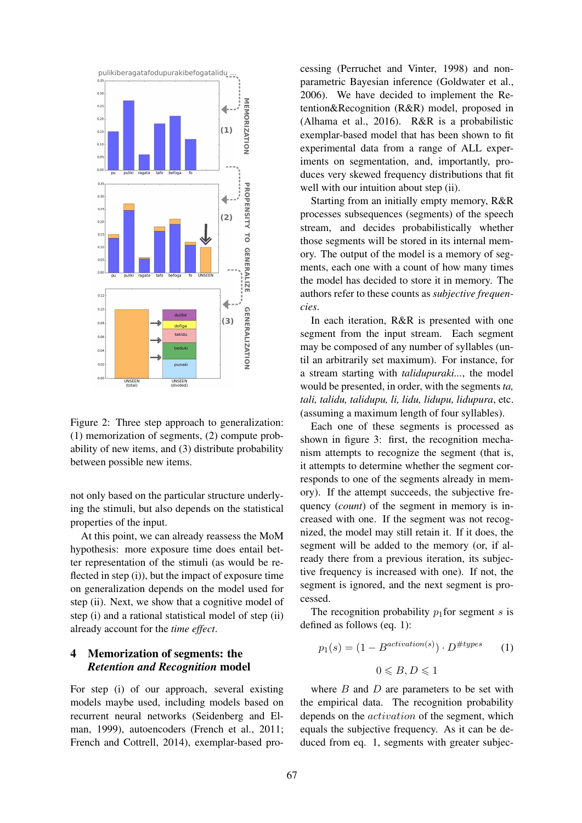

Figure 2: Three step approach to generalization: (1) memorization of segments, (2) compute probability of new items, and (3) distribute probability between possible new items.

not only based on the particular structure underlying the stimuli, but also depends on the statistical properties of the input.

At this point, we can already reassess the MoM hypothesis: more exposure time does entail better representation of the stimuli (as would be reflected in step (i)), but the impact of exposure time on generalization depends on the model used for step (ii). Next, we show that a cognitive model of step (i) and a rational statistical model of step (ii) already account for the *time effect*.

## 4 Memorization of segments: the *Retention and Recognition* model

For step (i) of our approach, several existing models maybe used, including models based on recurrent neural networks (Seidenberg and Elman, 1999), autoencoders (French et al., 2011; French and Cottrell, 2014), exemplar-based processing (Perruchet and Vinter, 1998) and nonparametric Bayesian inference (Goldwater et al., 2006). We have decided to implement the Retention&Recognition (R&R) model, proposed in (Alhama et al., 2016). R&R is a probabilistic exemplar-based model that has been shown to fit experimental data from a range of ALL experiments on segmentation, and, importantly, produces very skewed frequency distributions that fit well with our intuition about step (ii).

Starting from an initially empty memory, R&R processes subsequences (segments) of the speech stream, and decides probabilistically whether those segments will be stored in its internal memory. The output of the model is a memory of segments, each one with a count of how many times the model has decided to store it in memory. The authors refer to these counts as *subjective frequencies*.

In each iteration, R&R is presented with one segment from the input stream. Each segment may be composed of any number of syllables (until an arbitrarily set maximum). For instance, for a stream starting with *talidupuraki...*, the model would be presented, in order, with the segments *ta, tali, talidu, talidupu, li, lidu, lidupu, lidupura*, etc. (assuming a maximum length of four syllables).

Each one of these segments is processed as shown in figure 3: first, the recognition mechanism attempts to recognize the segment (that is, it attempts to determine whether the segment corresponds to one of the segments already in memory). If the attempt succeeds, the subjective frequency (*count*) of the segment in memory is increased with one. If the segment was not recognized, the model may still retain it. If it does, the segment will be added to the memory (or, if already there from a previous iteration, its subjective frequency is increased with one). If not, the segment is ignored, and the next segment is processed.

The recognition probability  $p_1$  for segment s is defined as follows (eq. 1):

$$
p_1(s) = (1 - B^{activation(s)}) \cdot D^{\#types} \qquad (1)
$$

$$
0 \le B, D \le 1
$$

where  $B$  and  $D$  are parameters to be set with the empirical data. The recognition probability depends on the activation of the segment, which equals the subjective frequency. As it can be deduced from eq. 1, segments with greater subjec-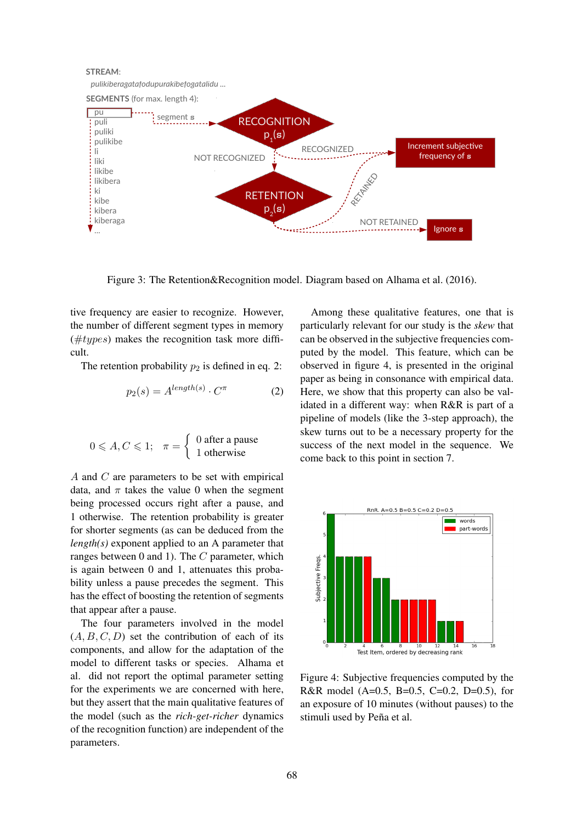NOT RETAINED *pulikiberagatafodupurakibefogatalidu ...* pu puli puliki pulikibe li liki likibe likibera ki kibe kibera kiberaga  $\blacktriangledown_{\ldots}$ **SEGMENTS** (for max. length 4): **STREAM**: segment **s** RETAILLED RECOGNIZED NOT RECOGNIZED **RECOGNITION**  $p_1$ (s) **RETENTION**  $p_{2}^{\prime}$ (**s**) Increment subjective frequency of **s** Ignore **s**

Figure 3: The Retention&Recognition model. Diagram based on Alhama et al. (2016).

tive frequency are easier to recognize. However, the number of different segment types in memory  $(\#types)$  makes the recognition task more difficult.

The retention probability  $p_2$  is defined in eq. 2:

$$
p_2(s) = A^{length(s)} \cdot C^{\pi} \tag{2}
$$

$$
0 \leqslant A, C \leqslant 1; \quad \pi = \left\{ \begin{array}{l} 0 \text{ after a pause} \\ 1 \text{ otherwise} \end{array} \right.
$$

A and C are parameters to be set with empirical data, and  $\pi$  takes the value 0 when the segment being processed occurs right after a pause, and 1 otherwise. The retention probability is greater for shorter segments (as can be deduced from the *length(s)* exponent applied to an A parameter that ranges between 0 and 1). The C parameter, which is again between 0 and 1, attenuates this probability unless a pause precedes the segment. This has the effect of boosting the retention of segments that appear after a pause.

The four parameters involved in the model  $(A, B, C, D)$  set the contribution of each of its components, and allow for the adaptation of the model to different tasks or species. Alhama et al. did not report the optimal parameter setting for the experiments we are concerned with here, but they assert that the main qualitative features of the model (such as the *rich-get-richer* dynamics of the recognition function) are independent of the parameters.

Among these qualitative features, one that is particularly relevant for our study is the *skew* that can be observed in the subjective frequencies computed by the model. This feature, which can be observed in figure 4, is presented in the original paper as being in consonance with empirical data. Here, we show that this property can also be validated in a different way: when R&R is part of a pipeline of models (like the 3-step approach), the skew turns out to be a necessary property for the success of the next model in the sequence. We come back to this point in section 7.



Figure 4: Subjective frequencies computed by the R&R model (A=0.5, B=0.5, C=0.2, D=0.5), for an exposure of 10 minutes (without pauses) to the stimuli used by Peña et al.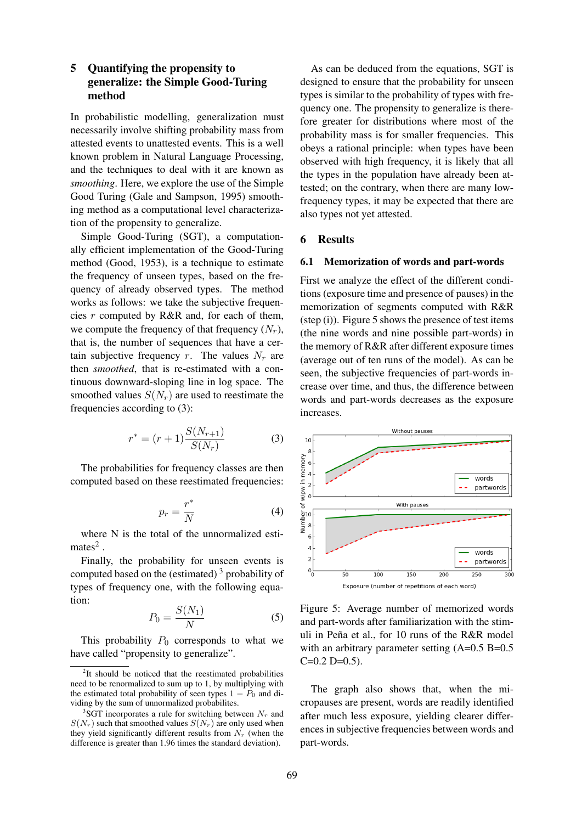### 5 Quantifying the propensity to generalize: the Simple Good-Turing method

In probabilistic modelling, generalization must necessarily involve shifting probability mass from attested events to unattested events. This is a well known problem in Natural Language Processing, and the techniques to deal with it are known as *smoothing*. Here, we explore the use of the Simple Good Turing (Gale and Sampson, 1995) smoothing method as a computational level characterization of the propensity to generalize.

Simple Good-Turing (SGT), a computationally efficient implementation of the Good-Turing method (Good, 1953), is a technique to estimate the frequency of unseen types, based on the frequency of already observed types. The method works as follows: we take the subjective frequencies  $r$  computed by R&R and, for each of them, we compute the frequency of that frequency  $(N_r)$ , that is, the number of sequences that have a certain subjective frequency r. The values  $N_r$  are then *smoothed*, that is re-estimated with a continuous downward-sloping line in log space. The smoothed values  $S(N_r)$  are used to reestimate the frequencies according to (3):

$$
r^* = (r+1)\frac{S(N_{r+1})}{S(N_r)}
$$
 (3)

The probabilities for frequency classes are then computed based on these reestimated frequencies:

$$
p_r = \frac{r^*}{N} \tag{4}
$$

where N is the total of the unnormalized esti $mates<sup>2</sup>$ .

Finally, the probability for unseen events is computed based on the (estimated)<sup>3</sup> probability of types of frequency one, with the following equation:

$$
P_0 = \frac{S(N_1)}{N} \tag{5}
$$

This probability  $P_0$  corresponds to what we have called "propensity to generalize".

As can be deduced from the equations, SGT is designed to ensure that the probability for unseen types is similar to the probability of types with frequency one. The propensity to generalize is therefore greater for distributions where most of the probability mass is for smaller frequencies. This obeys a rational principle: when types have been observed with high frequency, it is likely that all the types in the population have already been attested; on the contrary, when there are many lowfrequency types, it may be expected that there are also types not yet attested.

#### 6 Results

#### 6.1 Memorization of words and part-words

First we analyze the effect of the different conditions (exposure time and presence of pauses) in the memorization of segments computed with R&R  $(step (i))$ . Figure 5 shows the presence of test items (the nine words and nine possible part-words) in the memory of R&R after different exposure times (average out of ten runs of the model). As can be seen, the subjective frequencies of part-words increase over time, and thus, the difference between words and part-words decreases as the exposure increases.



Figure 5: Average number of memorized words and part-words after familiarization with the stimuli in Peña et al., for 10 runs of the R&R model with an arbitrary parameter setting (A=0.5 B=0.5)  $C=0.2$  D=0.5).

The graph also shows that, when the micropauses are present, words are readily identified after much less exposure, yielding clearer differences in subjective frequencies between words and part-words.

<sup>&</sup>lt;sup>2</sup>It should be noticed that the reestimated probabilities need to be renormalized to sum up to 1, by multiplying with the estimated total probability of seen types  $1 - P_0$  and dividing by the sum of unnormalized probabilites.

<sup>&</sup>lt;sup>3</sup>SGT incorporates a rule for switching between  $N_r$  and  $S(N_r)$  such that smoothed values  $S(N_r)$  are only used when they yield significantly different results from  $N_r$  (when the difference is greater than 1.96 times the standard deviation).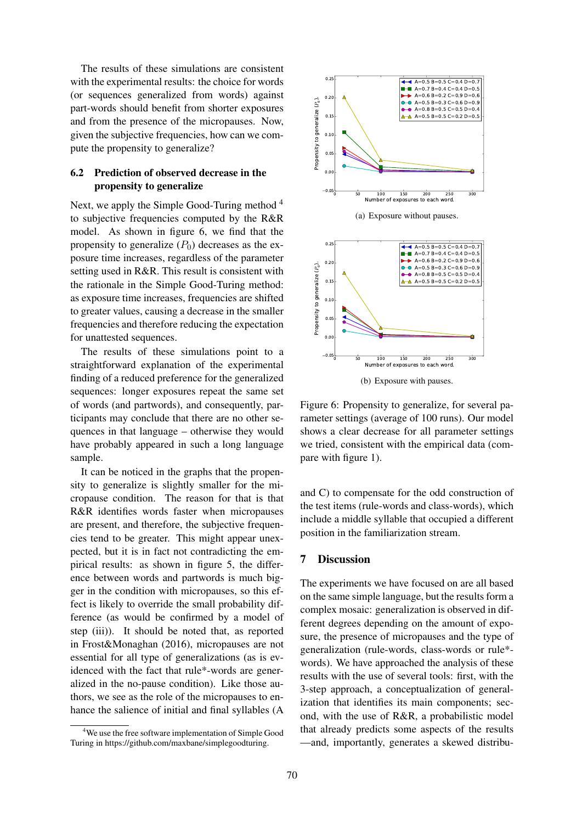The results of these simulations are consistent with the experimental results: the choice for words (or sequences generalized from words) against part-words should benefit from shorter exposures and from the presence of the micropauses. Now, given the subjective frequencies, how can we compute the propensity to generalize?

#### 6.2 Prediction of observed decrease in the propensity to generalize

Next, we apply the Simple Good-Turing method <sup>4</sup> to subjective frequencies computed by the R&R model. As shown in figure 6, we find that the propensity to generalize  $(P_0)$  decreases as the exposure time increases, regardless of the parameter setting used in R&R. This result is consistent with the rationale in the Simple Good-Turing method: as exposure time increases, frequencies are shifted to greater values, causing a decrease in the smaller frequencies and therefore reducing the expectation for unattested sequences.

The results of these simulations point to a straightforward explanation of the experimental finding of a reduced preference for the generalized sequences: longer exposures repeat the same set of words (and partwords), and consequently, participants may conclude that there are no other sequences in that language – otherwise they would have probably appeared in such a long language sample.

It can be noticed in the graphs that the propensity to generalize is slightly smaller for the micropause condition. The reason for that is that R&R identifies words faster when micropauses are present, and therefore, the subjective frequencies tend to be greater. This might appear unexpected, but it is in fact not contradicting the empirical results: as shown in figure 5, the difference between words and partwords is much bigger in the condition with micropauses, so this effect is likely to override the small probability difference (as would be confirmed by a model of step (iii)). It should be noted that, as reported in Frost&Monaghan (2016), micropauses are not essential for all type of generalizations (as is evidenced with the fact that rule\*-words are generalized in the no-pause condition). Like those authors, we see as the role of the micropauses to enhance the salience of initial and final syllables (A



(a) Exposure without pauses.



Figure 6: Propensity to generalize, for several parameter settings (average of 100 runs). Our model shows a clear decrease for all parameter settings we tried, consistent with the empirical data (compare with figure 1).

and C) to compensate for the odd construction of the test items (rule-words and class-words), which include a middle syllable that occupied a different position in the familiarization stream.

#### 7 Discussion

The experiments we have focused on are all based on the same simple language, but the results form a complex mosaic: generalization is observed in different degrees depending on the amount of exposure, the presence of micropauses and the type of generalization (rule-words, class-words or rule\* words). We have approached the analysis of these results with the use of several tools: first, with the 3-step approach, a conceptualization of generalization that identifies its main components; second, with the use of R&R, a probabilistic model that already predicts some aspects of the results —and, importantly, generates a skewed distribu-

<sup>&</sup>lt;sup>4</sup>We use the free software implementation of Simple Good Turing in https://github.com/maxbane/simplegoodturing.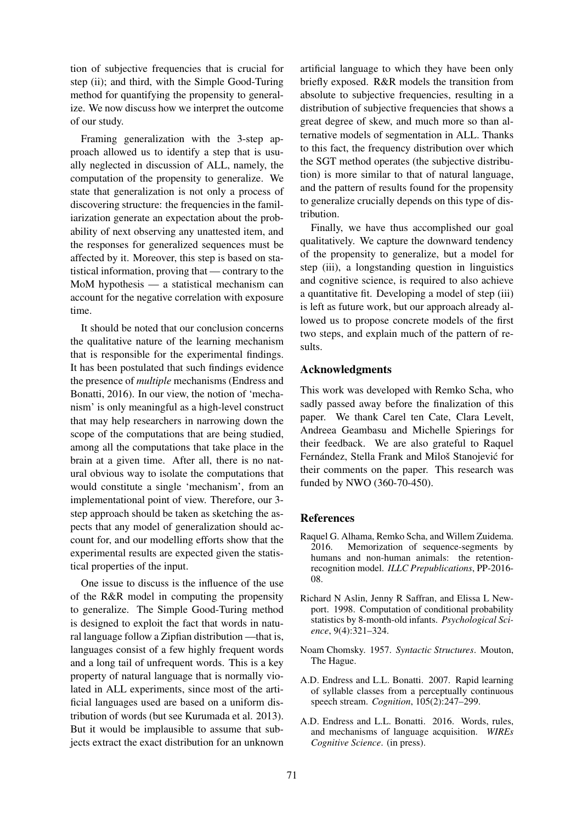tion of subjective frequencies that is crucial for step (ii); and third, with the Simple Good-Turing method for quantifying the propensity to generalize. We now discuss how we interpret the outcome of our study.

Framing generalization with the 3-step approach allowed us to identify a step that is usually neglected in discussion of ALL, namely, the computation of the propensity to generalize. We state that generalization is not only a process of discovering structure: the frequencies in the familiarization generate an expectation about the probability of next observing any unattested item, and the responses for generalized sequences must be affected by it. Moreover, this step is based on statistical information, proving that — contrary to the MoM hypothesis — a statistical mechanism can account for the negative correlation with exposure time.

It should be noted that our conclusion concerns the qualitative nature of the learning mechanism that is responsible for the experimental findings. It has been postulated that such findings evidence the presence of *multiple* mechanisms (Endress and Bonatti, 2016). In our view, the notion of 'mechanism' is only meaningful as a high-level construct that may help researchers in narrowing down the scope of the computations that are being studied, among all the computations that take place in the brain at a given time. After all, there is no natural obvious way to isolate the computations that would constitute a single 'mechanism', from an implementational point of view. Therefore, our 3 step approach should be taken as sketching the aspects that any model of generalization should account for, and our modelling efforts show that the experimental results are expected given the statistical properties of the input.

One issue to discuss is the influence of the use of the R&R model in computing the propensity to generalize. The Simple Good-Turing method is designed to exploit the fact that words in natural language follow a Zipfian distribution —that is, languages consist of a few highly frequent words and a long tail of unfrequent words. This is a key property of natural language that is normally violated in ALL experiments, since most of the artificial languages used are based on a uniform distribution of words (but see Kurumada et al. 2013). But it would be implausible to assume that subjects extract the exact distribution for an unknown

artificial language to which they have been only briefly exposed. R&R models the transition from absolute to subjective frequencies, resulting in a distribution of subjective frequencies that shows a great degree of skew, and much more so than alternative models of segmentation in ALL. Thanks to this fact, the frequency distribution over which the SGT method operates (the subjective distribution) is more similar to that of natural language, and the pattern of results found for the propensity to generalize crucially depends on this type of distribution.

Finally, we have thus accomplished our goal qualitatively. We capture the downward tendency of the propensity to generalize, but a model for step (iii), a longstanding question in linguistics and cognitive science, is required to also achieve a quantitative fit. Developing a model of step (iii) is left as future work, but our approach already allowed us to propose concrete models of the first two steps, and explain much of the pattern of results.

#### Acknowledgments

This work was developed with Remko Scha, who sadly passed away before the finalization of this paper. We thank Carel ten Cate, Clara Levelt, Andreea Geambasu and Michelle Spierings for their feedback. We are also grateful to Raquel Fernández, Stella Frank and Miloš Stanojević for their comments on the paper. This research was funded by NWO (360-70-450).

### References

- Raquel G. Alhama, Remko Scha, and Willem Zuidema. 2016. Memorization of sequence-segments by humans and non-human animals: the retentionrecognition model. *ILLC Prepublications*, PP-2016- 08.
- Richard N Aslin, Jenny R Saffran, and Elissa L Newport. 1998. Computation of conditional probability statistics by 8-month-old infants. *Psychological Science*, 9(4):321–324.
- Noam Chomsky. 1957. *Syntactic Structures*. Mouton, The Hague.
- A.D. Endress and L.L. Bonatti. 2007. Rapid learning of syllable classes from a perceptually continuous speech stream. *Cognition*, 105(2):247–299.
- A.D. Endress and L.L. Bonatti. 2016. Words, rules, and mechanisms of language acquisition. *WIREs Cognitive Science*. (in press).